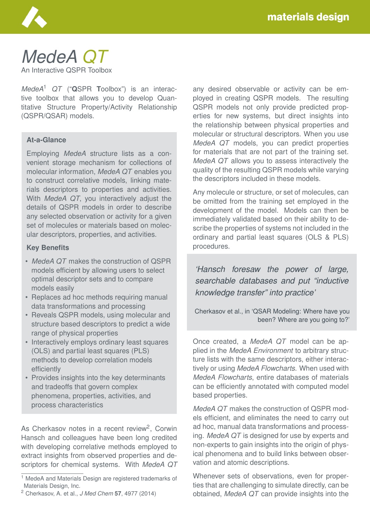

# *MedeA QT*

An Interactive QSPR Toolbox

*MedeA*<sup>1</sup> *QT* ("**Q**SPR **T**oolbox") is an interactive toolbox that allows you to develop Quantitative Structure Property/Activity Relationship (QSPR/QSAR) models.

#### **At-a-Glance**

Employing *MedeA* structure lists as a convenient storage mechanism for collections of molecular information, *MedeA QT* enables you to construct correlative models, linking materials descriptors to properties and activities. With *MedeA QT*, you interactively adjust the details of QSPR models in order to describe any selected observation or activity for a given set of molecules or materials based on molecular descriptors, properties, and activities.

#### **Key Benefits**

- *MedeA QT* makes the construction of QSPR models efficient by allowing users to select optimal descriptor sets and to compare models easily
- Replaces ad hoc methods requiring manual data transformations and processing
- Reveals QSPR models, using molecular and structure based descriptors to predict a wide range of physical properties
- Interactively employs ordinary least squares (OLS) and partial least squares (PLS) methods to develop correlation models efficiently
- Provides insights into the key determinants and tradeoffs that govern complex phenomena, properties, activities, and process characteristics

As Cherkasov notes in a recent review<sup>2</sup>, Corwin Hansch and colleagues have been long credited with developing correlative methods employed to extract insights from observed properties and descriptors for chemical systems. With *MedeA QT* any desired observable or activity can be employed in creating QSPR models. The resulting QSPR models not only provide predicted properties for new systems, but direct insights into the relationship between physical properties and molecular or structural descriptors. When you use *MedeA QT* models, you can predict properties for materials that are not part of the training set. *MedeA QT* allows you to assess interactively the quality of the resulting QSPR models while varying the descriptors included in these models.

Any molecule or structure, or set of molecules, can be omitted from the training set employed in the development of the model. Models can then be immediately validated based on their ability to describe the properties of systems not included in the ordinary and partial least squares (OLS & PLS) procedures.

*'Hansch foresaw the power of large, searchable databases and put "inductive knowledge transfer" into practice'*

Cherkasov et al., in 'QSAR Modeling: Where have you been? Where are you going to?'

Once created, a *MedeA QT* model can be applied in the *MedeA Environment* to arbitrary structure lists with the same descriptors, either interactively or using *MedeA Flowcharts*. When used with *MedeA Flowcharts*, entire databases of materials can be efficiently annotated with computed model based properties.

*MedeA QT* makes the construction of QSPR models efficient, and eliminates the need to carry out ad hoc, manual data transformations and processing. *MedeA QT* is designed for use by experts and non-experts to gain insights into the origin of physical phenomena and to build links between observation and atomic descriptions.

Whenever sets of observations, even for properties that are challenging to simulate directly, can be obtained, *MedeA QT* can provide insights into the

<sup>&</sup>lt;sup>1</sup> MedeA and Materials Design are registered trademarks of Materials Design, Inc.

<sup>2</sup> Cherkasov, A. et al., *J Med Chem* **57**, 4977 (2014)